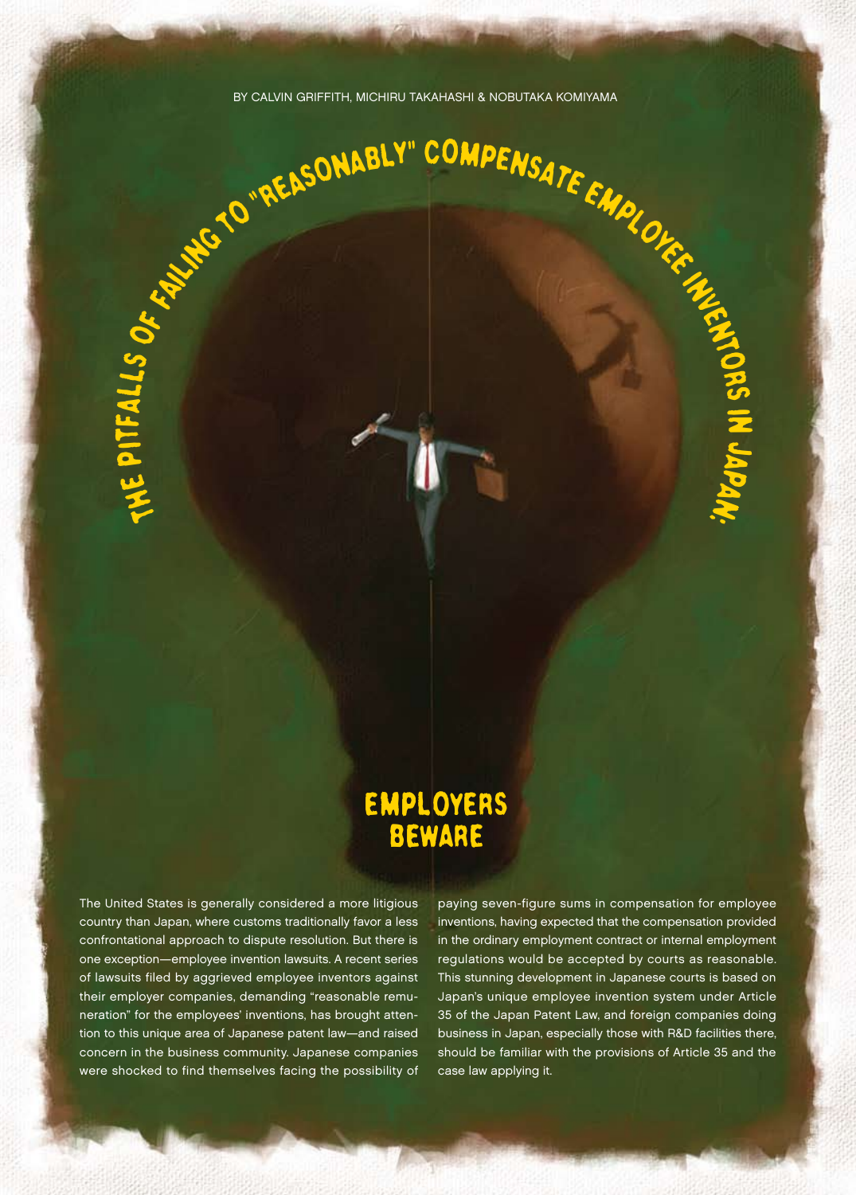14

# Employers Beware

The United States is generally considered a more litigious country than Japan, where customs traditionally favor a less confrontational approach to dispute resolution. But there is one exception—employee invention lawsuits. A recent series of lawsuits filed by aggrieved employee inventors against their employer companies, demanding "reasonable remuneration" for the employees' inventions, has brought attention to this unique area of Japanese patent law—and raised concern in the business community. Japanese companies were shocked to find themselves facing the possibility of

paying seven-figure sums in compensation for employee inventions, having expected that the compensation provided in the ordinary employment contract or internal employment regulations would be accepted by courts as reasonable. This stunning development in Japanese courts is based on Japan's unique employee invention system under Article 35 of the Japan Patent Law, and foreign companies doing business in Japan, especially those with R&D facilities there, should be familiar with the provisions of Article 35 and the case law applying it.

 $\overline{\mathbf{z}}$ 

JapaN: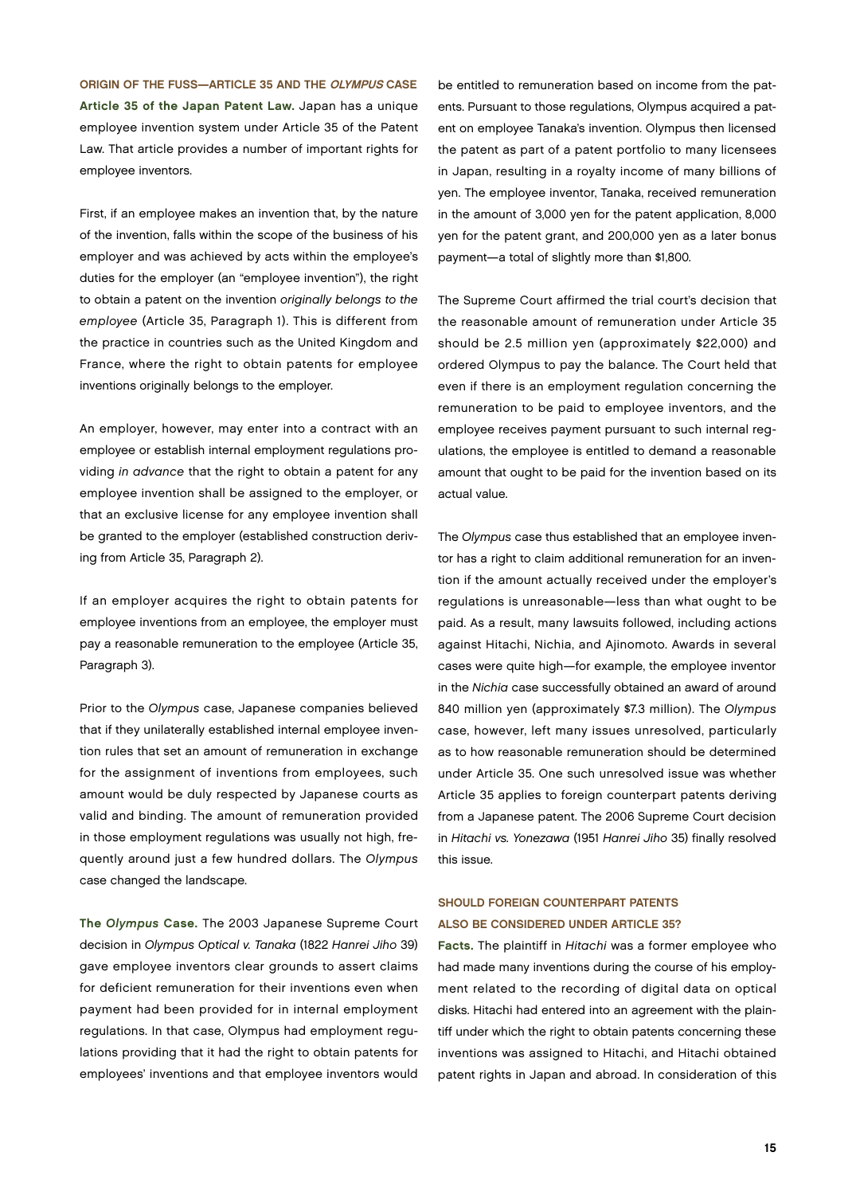Origin of the Fuss—Article 35 and the Olympus Case Article 35 of the Japan Patent Law. Japan has a unique employee invention system under Article 35 of the Patent Law. That article provides a number of important rights for employee inventors.

First, if an employee makes an invention that, by the nature of the invention, falls within the scope of the business of his employer and was achieved by acts within the employee's duties for the employer (an "employee invention"), the right to obtain a patent on the invention originally belongs to the employee (Article 35, Paragraph 1). This is different from the practice in countries such as the United Kingdom and France, where the right to obtain patents for employee inventions originally belongs to the employer.

An employer, however, may enter into a contract with an employee or establish internal employment regulations providing in advance that the right to obtain a patent for any employee invention shall be assigned to the employer, or that an exclusive license for any employee invention shall be granted to the employer (established construction deriving from Article 35, Paragraph 2).

If an employer acquires the right to obtain patents for employee inventions from an employee, the employer must pay a reasonable remuneration to the employee (Article 35, Paragraph 3).

Prior to the Olympus case, Japanese companies believed that if they unilaterally established internal employee invention rules that set an amount of remuneration in exchange for the assignment of inventions from employees, such amount would be duly respected by Japanese courts as valid and binding. The amount of remuneration provided in those employment regulations was usually not high, frequently around just a few hundred dollars. The Olympus case changed the landscape.

The Olympus Case. The 2003 Japanese Supreme Court decision in Olympus Optical v. Tanaka (1822 Hanrei Jiho 39) gave employee inventors clear grounds to assert claims for deficient remuneration for their inventions even when payment had been provided for in internal employment regulations. In that case, Olympus had employment regulations providing that it had the right to obtain patents for employees' inventions and that employee inventors would

be entitled to remuneration based on income from the patents. Pursuant to those regulations, Olympus acquired a patent on employee Tanaka's invention. Olympus then licensed the patent as part of a patent portfolio to many licensees in Japan, resulting in a royalty income of many billions of yen. The employee inventor, Tanaka, received remuneration in the amount of 3,000 yen for the patent application, 8,000 yen for the patent grant, and 200,000 yen as a later bonus payment—a total of slightly more than \$1,800.

The Supreme Court affirmed the trial court's decision that the reasonable amount of remuneration under Article 35 should be 2.5 million yen (approximately \$22,000) and ordered Olympus to pay the balance. The Court held that even if there is an employment regulation concerning the remuneration to be paid to employee inventors, and the employee receives payment pursuant to such internal regulations, the employee is entitled to demand a reasonable amount that ought to be paid for the invention based on its actual value.

The Olympus case thus established that an employee inventor has a right to claim additional remuneration for an invention if the amount actually received under the employer's regulations is unreasonable—less than what ought to be paid. As a result, many lawsuits followed, including actions against Hitachi, Nichia, and Ajinomoto. Awards in several cases were quite high—for example, the employee inventor in the Nichia case successfully obtained an award of around 840 million yen (approximately \$7.3 million). The Olympus case, however, left many issues unresolved, particularly as to how reasonable remuneration should be determined under Article 35. One such unresolved issue was whether Article 35 applies to foreign counterpart patents deriving from a Japanese patent. The 2006 Supreme Court decision in Hitachi vs. Yonezawa (1951 Hanrei Jiho 35) finally resolved this issue.

## SHOULD FOREIGN COUNTERPART PATENTS Also Be Considered Under Article 35?

Facts. The plaintiff in Hitachi was a former employee who had made many inventions during the course of his employment related to the recording of digital data on optical disks. Hitachi had entered into an agreement with the plaintiff under which the right to obtain patents concerning these inventions was assigned to Hitachi, and Hitachi obtained patent rights in Japan and abroad. In consideration of this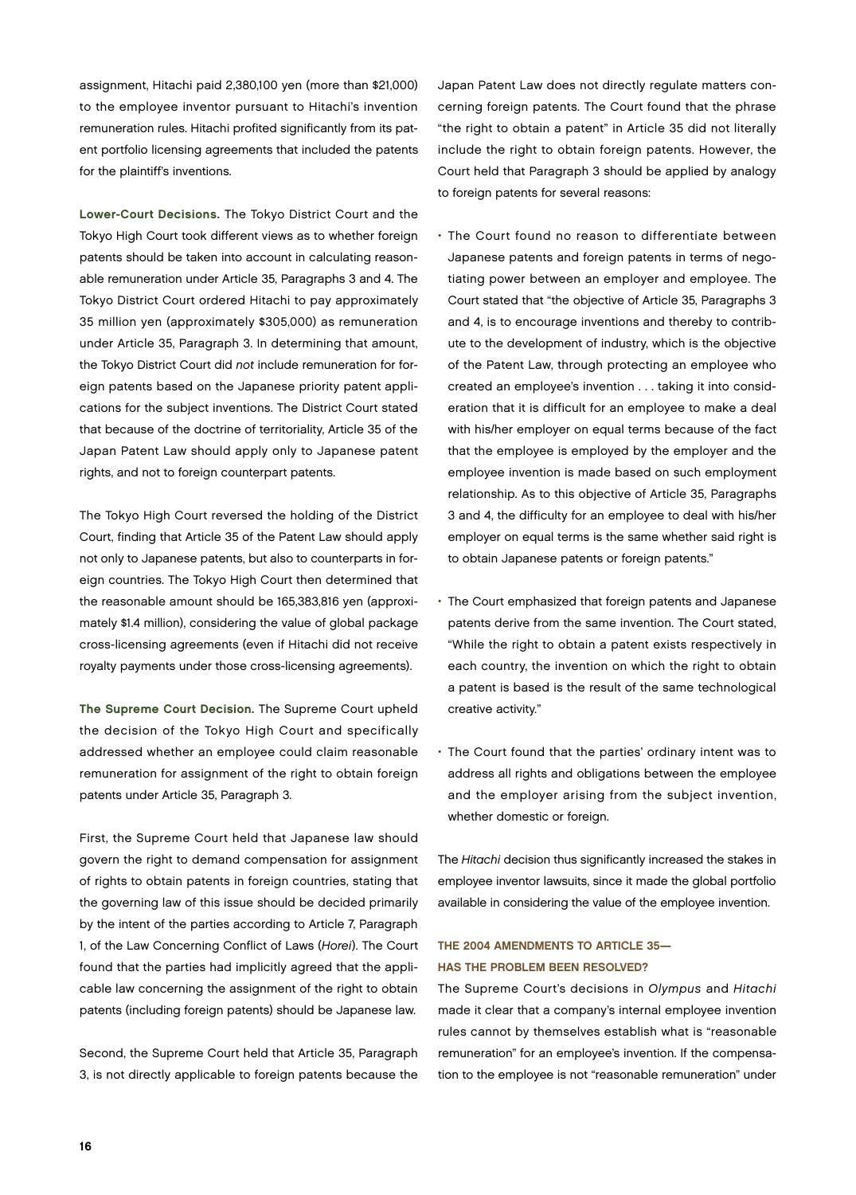assignment, Hitachi paid 2,380,100 yen (more than \$21,000) to the employee inventor pursuant to Hitachi's invention remuneration rules. Hitachi profited significantly from its patent portfolio licensing agreements that included the patents for the plaintiff's inventions.

Lower-Court Decisions. The Tokyo District Court and the Tokyo High Court took different views as to whether foreign patents should be taken into account in calculating reasonable remuneration under Article 35, Paragraphs 3 and 4. The Tokyo District Court ordered Hitachi to pay approximately 35 million yen (approximately \$305,000) as remuneration under Article 35, Paragraph 3. In determining that amount, the Tokyo District Court did not include remuneration for foreign patents based on the Japanese priority patent applications for the subject inventions. The District Court stated that because of the doctrine of territoriality, Article 35 of the Japan Patent Law should apply only to Japanese patent rights, and not to foreign counterpart patents.

The Tokyo High Court reversed the holding of the District Court, finding that Article 35 of the Patent Law should apply not only to Japanese patents, but also to counterparts in foreign countries. The Tokyo High Court then determined that the reasonable amount should be 165,383,816 yen (approximately \$1.4 million), considering the value of global package cross-licensing agreements (even if Hitachi did not receive royalty payments under those cross-licensing agreements).

The Supreme Court Decision. The Supreme Court upheld the decision of the Tokyo High Court and specifically addressed whether an employee could claim reasonable remuneration for assignment of the right to obtain foreign patents under Article 35, Paragraph 3.

First, the Supreme Court held that Japanese law should govern the right to demand compensation for assignment of rights to obtain patents in foreign countries, stating that the governing law of this issue should be decided primarily by the intent of the parties according to Article 7, Paragraph 1, of the Law Concerning Conflict of Laws (Horei). The Court found that the parties had implicitly agreed that the applicable law concerning the assignment of the right to obtain patents (including foreign patents) should be Japanese law.

Second, the Supreme Court held that Article 35, Paragraph 3, is not directly applicable to foreign patents because the Japan Patent Law does not directly regulate matters concerning foreign patents. The Court found that the phrase "the right to obtain a patent" in Article 35 did not literally include the right to obtain foreign patents. However, the Court held that Paragraph 3 should be applied by analogy to foreign patents for several reasons:

- The Court found no reason to differentiate between Japanese patents and foreign patents in terms of negotiating power between an employer and employee. The Court stated that "the objective of Article 35, Paragraphs 3 and 4, is to encourage inventions and thereby to contribute to the development of industry, which is the objective of the Patent Law, through protecting an employee who created an employee's invention . . . taking it into consideration that it is difficult for an employee to make a deal with his/her employer on equal terms because of the fact that the employee is employed by the employer and the employee invention is made based on such employment relationship. As to this objective of Article 35, Paragraphs 3 and 4, the difficulty for an employee to deal with his/her employer on equal terms is the same whether said right is to obtain Japanese patents or foreign patents."
- The Court emphasized that foreign patents and Japanese patents derive from the same invention. The Court stated, "While the right to obtain a patent exists respectively in each country, the invention on which the right to obtain a patent is based is the result of the same technological creative activity."
- The Court found that the parties' ordinary intent was to address all rights and obligations between the employee and the employer arising from the subject invention, whether domestic or foreign.

The Hitachi decision thus significantly increased the stakes in employee inventor lawsuits, since it made the global portfolio available in considering the value of the employee invention.

## The 2004 Amendments to Article 35— Has the Problem Been Resolved?

The Supreme Court's decisions in Olympus and Hitachi made it clear that a company's internal employee invention rules cannot by themselves establish what is "reasonable remuneration" for an employee's invention. If the compensation to the employee is not "reasonable remuneration" under